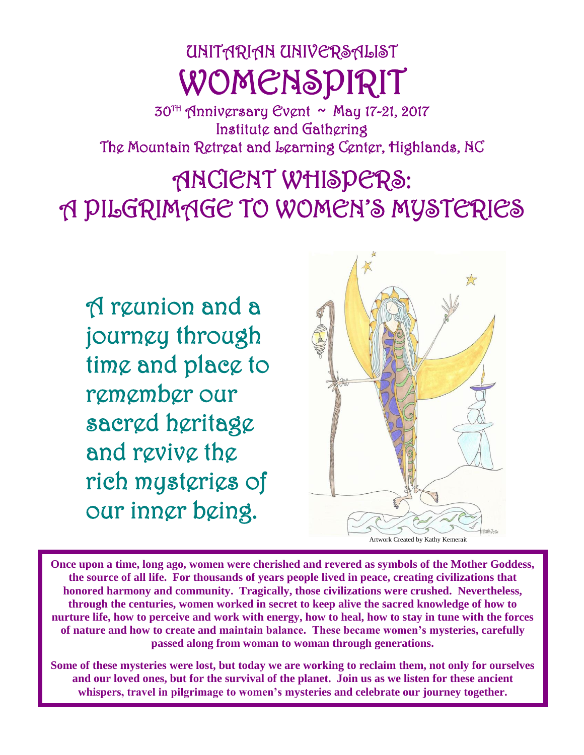# UNITARIAN UNIVERSALIST WOMENSPIRIT

30TH Anniversary Event ~ May 17-21, 2017 Institute and Gathering The Mountain Retreat and Learning Center, Highlands, NC

ANCIENT WHISPERS: A PILGRIMAGE TO WOMEN'S MYSTERIES

A reunion and a journey through time and place to remember our sacred heritage and revive the rich mysteries of our inner being.



**Once upon a time, long ago, women were cherished and revered as symbols of the Mother Goddess, the source of all life. For thousands of years people lived in peace, creating civilizations that honored harmony and community. Tragically, those civilizations were crushed. Nevertheless, through the centuries, women worked in secret to keep alive the sacred knowledge of how to nurture life, how to perceive and work with energy, how to heal, how to stay in tune with the forces of nature and how to create and maintain balance. These became women's mysteries, carefully passed along from woman to woman through generations.**

**Some of these mysteries were lost, but today we are working to reclaim them, not only for ourselves and our loved ones, but for the survival of the planet. Join us as we listen for these ancient whispers, travel in pilgrimage to women's mysteries and celebrate our journey together.**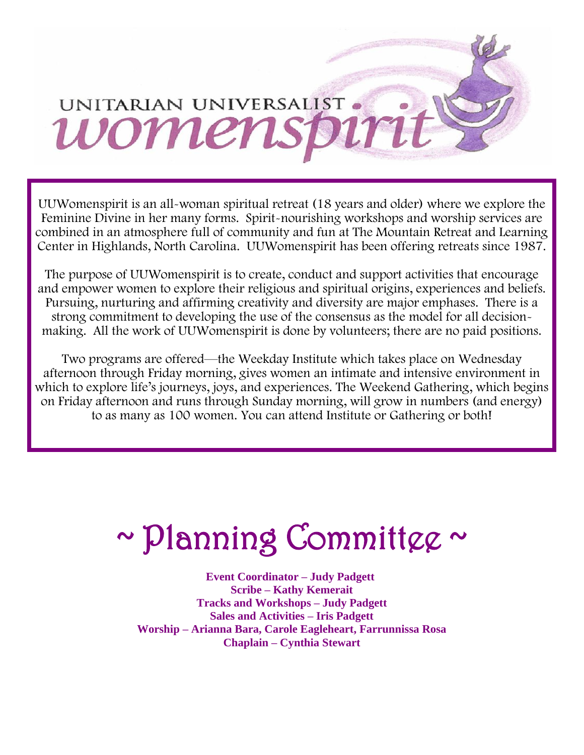# UNITARIAN UNIVERSALIST . womens

UUWomenspirit is an all-woman spiritual retreat (18 years and older) where we explore the Feminine Divine in her many forms. Spirit-nourishing workshops and worship services are combined in an atmosphere full of community and fun at The Mountain Retreat and Learning Center in Highlands, North Carolina. UUWomenspirit has been offering retreats since 1987.

The purpose of UUWomenspirit is to create, conduct and support activities that encourage and empower women to explore their religious and spiritual origins, experiences and beliefs. Pursuing, nurturing and affirming creativity and diversity are major emphases. There is a strong commitment to developing the use of the consensus as the model for all decisionmaking. All the work of UUWomenspirit is done by volunteers; there are no paid positions.

Two programs are offered—the Weekday Institute which takes place on Wednesday afternoon through Friday morning, gives women an intimate and intensive environment in which to explore life's journeys, joys, and experiences. The Weekend Gathering, which begins on Friday afternoon and runs through Sunday morning, will grow in numbers (and energy) to as many as 100 women. You can attend Institute or Gathering or both!

# ~ Planning Committee ~

 **Event Coordinator – Judy Padgett Scribe – Kathy Kemerait Tracks and Workshops – Judy Padgett Sales and Activities – Iris Padgett Worship – Arianna Bara, Carole Eagleheart, Farrunnissa Rosa Chaplain – Cynthia Stewart**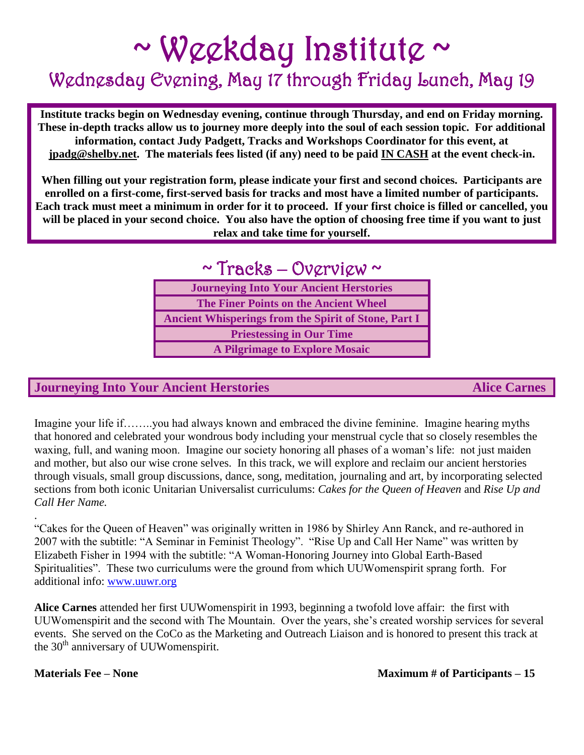# $\sim$  Weekday Institute  $\sim$

# Wednesday Evening, May 17 through Friday Lunch, May 19

**Institute tracks begin on Wednesday evening, continue through Thursday, and end on Friday morning. These in-depth tracks allow us to journey more deeply into the soul of each session topic. For additional information, contact Judy Padgett, Tracks and Workshops Coordinator for this event, at [jpadg@shelby.net.](mailto:jpadg@shelby.net) The materials fees listed (if any) need to be paid IN CASH at the event check-in.**

**When filling out your registration form, please indicate your first and second choices. Participants are enrolled on a first-come, first-served basis for tracks and most have a limited number of participants. Each track must meet a minimum in order for it to proceed. If your first choice is filled or cancelled, you will be placed in your second choice. You also have the option of choosing free time if you want to just relax and take time for yourself.** 

## $\sim$  Tracks – Overview  $\sim$

| <b>Journeying Into Your Ancient Herstories</b>              |
|-------------------------------------------------------------|
| <b>The Finer Points on the Ancient Wheel</b>                |
| <b>Ancient Whisperings from the Spirit of Stone, Part I</b> |
| <b>Priestessing in Our Time</b>                             |
| <b>A Pilgrimage to Explore Mosaic</b>                       |

### **Journeying Into Your Ancient Herstories Alice Carnes** Alice Carnes

Imagine your life if……..you had always known and embraced the divine feminine. Imagine hearing myths that honored and celebrated your wondrous body including your menstrual cycle that so closely resembles the waxing, full, and waning moon. Imagine our society honoring all phases of a woman's life: not just maiden and mother, but also our wise crone selves. In this track, we will explore and reclaim our ancient herstories through visuals, small group discussions, dance, song, meditation, journaling and art, by incorporating selected sections from both iconic Unitarian Universalist curriculums: *Cakes for the Queen of Heaven* and *Rise Up and Call Her Name.*

"Cakes for the Queen of Heaven" was originally written in 1986 by Shirley Ann Ranck, and re-authored in 2007 with the subtitle: "A Seminar in Feminist Theology". "Rise Up and Call Her Name" was written by Elizabeth Fisher in 1994 with the subtitle: "A Woman-Honoring Journey into Global Earth-Based Spiritualities". These two curriculums were the ground from which UUWomenspirit sprang forth. For additional info: [www.uuwr.org](http://www.uuwr.org/)

**Alice Carnes** attended her first UUWomenspirit in 1993, beginning a twofold love affair: the first with UUWomenspirit and the second with The Mountain. Over the years, she's created worship services for several events. She served on the CoCo as the Marketing and Outreach Liaison and is honored to present this track at the 30<sup>th</sup> anniversary of UUWomenspirit.

.

**Materials Fee – None Maximum # of Participants – 15**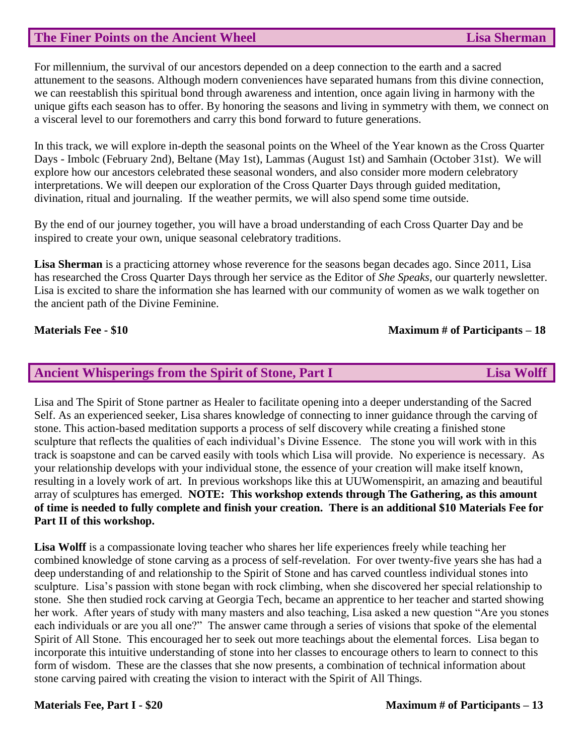#### **The Finer Points on the Ancient Wheel Lisa Sherman**

For millennium, the survival of our ancestors depended on a deep connection to the earth and a sacred attunement to the seasons. Although modern conveniences have separated humans from this divine connection, we can reestablish this spiritual bond through awareness and intention, once again living in harmony with the unique gifts each season has to offer. By honoring the seasons and living in symmetry with them, we connect on a visceral level to our foremothers and carry this bond forward to future generations.

In this track, we will explore in-depth the seasonal points on the Wheel of the Year known as the Cross Quarter Days - Imbolc (February 2nd), Beltane (May 1st), Lammas (August 1st) and Samhain (October 31st). We will explore how our ancestors celebrated these seasonal wonders, and also consider more modern celebratory interpretations. We will deepen our exploration of the Cross Quarter Days through guided meditation, divination, ritual and journaling. If the weather permits, we will also spend some time outside.

By the end of our journey together, you will have a broad understanding of each Cross Quarter Day and be inspired to create your own, unique seasonal celebratory traditions.

**Lisa Sherman** is a practicing attorney whose reverence for the seasons began decades ago. Since 2011, Lisa has researched the Cross Quarter Days through her service as the Editor of *She Speaks*, our quarterly newsletter. Lisa is excited to share the information she has learned with our community of women as we walk together on the ancient path of the Divine Feminine.

#### **Materials Fee - \$10 Maximum # of Participants – 18**

#### **Ancient Whisperings from the Spirit of Stone, Part I Lisa Wolff**

Lisa and The Spirit of Stone partner as Healer to facilitate opening into a deeper understanding of the Sacred Self. As an experienced seeker, Lisa shares knowledge of connecting to inner guidance through the carving of stone. This action-based meditation supports a process of self discovery while creating a finished stone sculpture that reflects the qualities of each individual's Divine Essence. The stone you will work with in this track is soapstone and can be carved easily with tools which Lisa will provide. No experience is necessary. As your relationship develops with your individual stone, the essence of your creation will make itself known, resulting in a lovely work of art. In previous workshops like this at UUWomenspirit, an amazing and beautiful array of sculptures has emerged. **NOTE: This workshop extends through The Gathering, as this amount of time is needed to fully complete and finish your creation. There is an additional \$10 Materials Fee for Part II of this workshop.**

**Lisa Wolff** is a compassionate loving teacher who shares her life experiences freely while teaching her combined knowledge of stone carving as a process of self-revelation. For over twenty-five years she has had a deep understanding of and relationship to the Spirit of Stone and has carved countless individual stones into sculpture. Lisa's passion with stone began with rock climbing, when she discovered her special relationship to stone. She then studied rock carving at Georgia Tech, became an apprentice to her teacher and started showing her work. After years of study with many masters and also teaching, Lisa asked a new question "Are you stones each individuals or are you all one?" The answer came through a series of visions that spoke of the elemental Spirit of All Stone. This encouraged her to seek out more teachings about the elemental forces. Lisa began to incorporate this intuitive understanding of stone into her classes to encourage others to learn to connect to this form of wisdom. These are the classes that she now presents, a combination of technical information about stone carving paired with creating the vision to interact with the Spirit of All Things.

#### **Materials Fee, Part I - \$20 Maximum # of Participants – 13**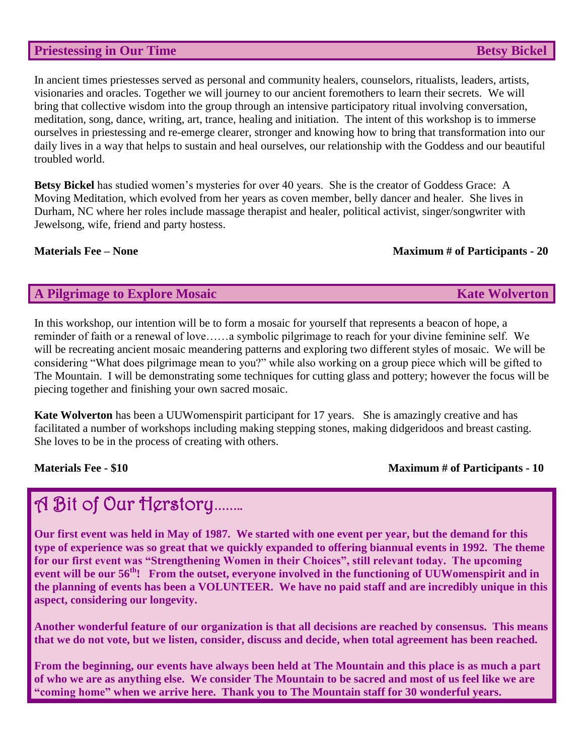#### **Priestessing in Our Time Betsy Bickel**

In ancient times priestesses served as personal and community healers, counselors, ritualists, leaders, artists, visionaries and oracles. Together we will journey to our ancient foremothers to learn their secrets. We will bring that collective wisdom into the group through an intensive participatory ritual involving conversation, meditation, song, dance, writing, art, trance, healing and initiation. The intent of this workshop is to immerse ourselves in priestessing and re-emerge clearer, stronger and knowing how to bring that transformation into our daily lives in a way that helps to sustain and heal ourselves, our relationship with the Goddess and our beautiful troubled world.

**Betsy Bickel** has studied women's mysteries for over 40 years. She is the creator of Goddess Grace: A Moving Meditation, which evolved from her years as coven member, belly dancer and healer. She lives in Durham, NC where her roles include massage therapist and healer, political activist, singer/songwriter with Jewelsong, wife, friend and party hostess.

#### **Materials Fee – None** Maximum # of Participants - 20

#### **A Pilgrimage to Explore Mosaic Kate Wolverton**

In this workshop, our intention will be to form a mosaic for yourself that represents a beacon of hope, a reminder of faith or a renewal of love……a symbolic pilgrimage to reach for your divine feminine self. We will be recreating ancient mosaic meandering patterns and exploring two different styles of mosaic. We will be considering "What does pilgrimage mean to you?" while also working on a group piece which will be gifted to The Mountain. I will be demonstrating some techniques for cutting glass and pottery; however the focus will be piecing together and finishing your own sacred mosaic.

**Kate Wolverton** has been a UUWomenspirit participant for 17 years. She is amazingly creative and has facilitated a number of workshops including making stepping stones, making didgeridoos and breast casting. She loves to be in the process of creating with others.

#### **Materials Fee - \$10 Maximum # of Participants - 10**

## A Bit of Our Herstory**……..**

**Our first event was held in May of 1987. We started with one event per year, but the demand for this type of experience was so great that we quickly expanded to offering biannual events in 1992. The theme for our first event was "Strengthening Women in their Choices", still relevant today. The upcoming event will be our 56th! From the outset, everyone involved in the functioning of UUWomenspirit and in the planning of events has been a VOLUNTEER. We have no paid staff and are incredibly unique in this aspect, considering our longevity.**

**Another wonderful feature of our organization is that all decisions are reached by consensus. This means that we do not vote, but we listen, consider, discuss and decide, when total agreement has been reached.** 

**From the beginning, our events have always been held at The Mountain and this place is as much a part of who we are as anything else. We consider The Mountain to be sacred and most of us feel like we are "coming home" when we arrive here. Thank you to The Mountain staff for 30 wonderful years.**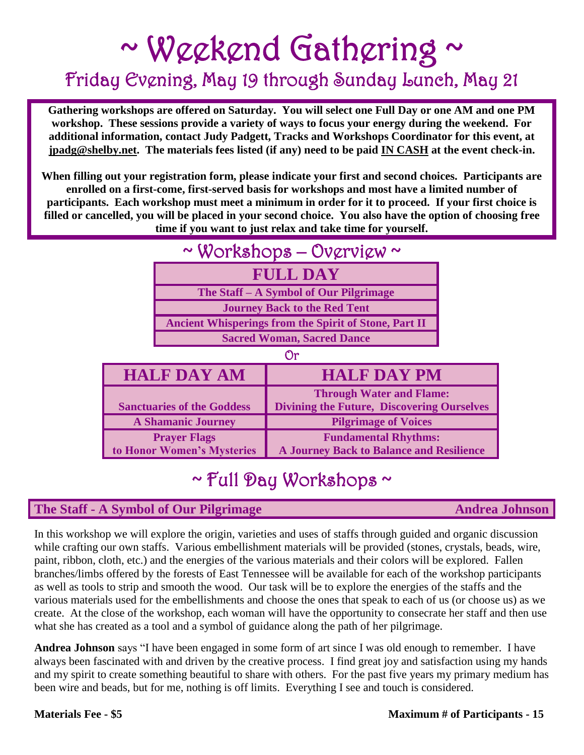# ~ Weekend Gathering ~ Friday Evening, May 19 through Sunday Lunch, May 21

**Gathering workshops are offered on Saturday. You will select one Full Day or one AM and one PM workshop. These sessions provide a variety of ways to focus your energy during the weekend. For additional information, contact Judy Padgett, Tracks and Workshops Coordinator for this event, at [jpadg@shelby.net.](mailto:jpadg@shelby.net) The materials fees listed (if any) need to be paid IN CASH at the event check-in.**

**When filling out your registration form, please indicate your first and second choices. Participants are enrolled on a first-come, first-served basis for workshops and most have a limited number of participants. Each workshop must meet a minimum in order for it to proceed. If your first choice is filled or cancelled, you will be placed in your second choice. You also have the option of choosing free time if you want to just relax and take time for yourself.** 

| ~ Workshops $-$ Overview ~        |                                                              |                                                                                      |  |  |
|-----------------------------------|--------------------------------------------------------------|--------------------------------------------------------------------------------------|--|--|
|                                   | <b>FULL DAY</b>                                              |                                                                                      |  |  |
|                                   | The Staff - A Symbol of Our Pilgrimage                       |                                                                                      |  |  |
|                                   | <b>Journey Back to the Red Tent</b>                          |                                                                                      |  |  |
|                                   | <b>Ancient Whisperings from the Spirit of Stone, Part II</b> |                                                                                      |  |  |
|                                   | <b>Sacred Woman, Sacred Dance</b>                            |                                                                                      |  |  |
| ٣)r                               |                                                              |                                                                                      |  |  |
| <b>HALF DAY AM</b>                |                                                              | <b>HALF DAY PM</b>                                                                   |  |  |
| <b>Sanctuaries of the Goddess</b> |                                                              | <b>Through Water and Flame:</b><br><b>Divining the Future, Discovering Ourselves</b> |  |  |
| <b>A Shamanic Journey</b>         |                                                              | <b>Pilgrimage of Voices</b>                                                          |  |  |
| <b>Prayer Flags</b>               |                                                              | <b>Fundamental Rhythms:</b>                                                          |  |  |

# ~ Full Day Workshops ~

**A Journey Back to Balance and Resilience** 

### **The Staff - A Symbol of Our Pilgrimage Andrea Johnson**

**to Honor Women's Mysteries**

In this workshop we will explore the origin, varieties and uses of staffs through guided and organic discussion while crafting our own staffs. Various embellishment materials will be provided (stones, crystals, beads, wire, paint, ribbon, cloth, etc.) and the energies of the various materials and their colors will be explored. Fallen branches/limbs offered by the forests of East Tennessee will be available for each of the workshop participants as well as tools to strip and smooth the wood. Our task will be to explore the energies of the staffs and the various materials used for the embellishments and choose the ones that speak to each of us (or choose us) as we create. At the close of the workshop, each woman will have the opportunity to consecrate her staff and then use what she has created as a tool and a symbol of guidance along the path of her pilgrimage.

**Andrea Johnson** says "I have been engaged in some form of art since I was old enough to remember. I have always been fascinated with and driven by the creative process. I find great joy and satisfaction using my hands and my spirit to create something beautiful to share with others. For the past five years my primary medium has been wire and beads, but for me, nothing is off limits. Everything I see and touch is considered.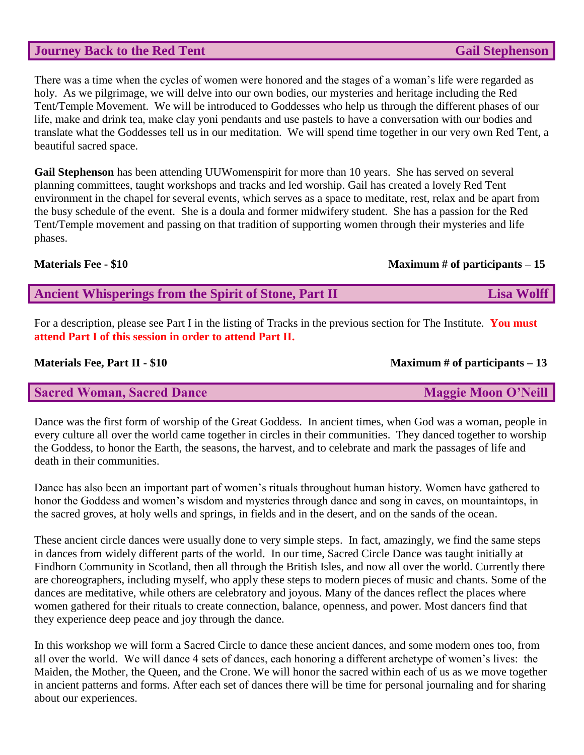#### **Journey Back to the Red Tent Gail Stephenson**

There was a time when the cycles of women were honored and the stages of a woman's life were regarded as holy. As we pilgrimage, we will delve into our own bodies, our mysteries and heritage including the Red Tent/Temple Movement. We will be introduced to Goddesses who help us through the different phases of our life, make and drink tea, make clay yoni pendants and use pastels to have a conversation with our bodies and translate what the Goddesses tell us in our meditation. We will spend time together in our very own Red Tent, a beautiful sacred space.

**Gail Stephenson** has been attending UUWomenspirit for more than 10 years. She has served on several planning committees, taught workshops and tracks and led worship. Gail has created a lovely Red Tent environment in the chapel for several events, which serves as a space to meditate, rest, relax and be apart from the busy schedule of the event. She is a doula and former midwifery student. She has a passion for the Red Tent/Temple movement and passing on that tradition of supporting women through their mysteries and life phases.

#### **Materials Fee - \$10 Maximum # of participants – 15**

**Ancient Whisperings from the Spirit of Stone, Part II Lisa Wolff** 

For a description, please see Part I in the listing of Tracks in the previous section for The Institute. **You must attend Part I of this session in order to attend Part II.**

#### **Materials Fee, Part II - \$10 Maximum # of participants – 13**

| <b>Sacred Woman, Sacred Dance</b> | <b>Maggie Moon O'Neill</b> |
|-----------------------------------|----------------------------|
|-----------------------------------|----------------------------|

Dance was the first form of worship of the Great Goddess. In ancient times, when God was a woman, people in every culture all over the world came together in circles in their communities. They danced together to worship the Goddess, to honor the Earth, the seasons, the harvest, and to celebrate and mark the passages of life and death in their communities.

Dance has also been an important part of women's rituals throughout human history. Women have gathered to honor the Goddess and women's wisdom and mysteries through dance and song in caves, on mountaintops, in the sacred groves, at holy wells and springs, in fields and in the desert, and on the sands of the ocean.

These ancient circle dances were usually done to very simple steps. In fact, amazingly, we find the same steps in dances from widely different parts of the world. In our time, Sacred Circle Dance was taught initially at Findhorn Community in Scotland, then all through the British Isles, and now all over the world. Currently there are choreographers, including myself, who apply these steps to modern pieces of music and chants. Some of the dances are meditative, while others are celebratory and joyous. Many of the dances reflect the places where women gathered for their rituals to create connection, balance, openness, and power. Most dancers find that they experience deep peace and joy through the dance.

In this workshop we will form a Sacred Circle to dance these ancient dances, and some modern ones too, from all over the world. We will dance 4 sets of dances, each honoring a different archetype of women's lives: the Maiden, the Mother, the Queen, and the Crone. We will honor the sacred within each of us as we move together in ancient patterns and forms. After each set of dances there will be time for personal journaling and for sharing about our experiences.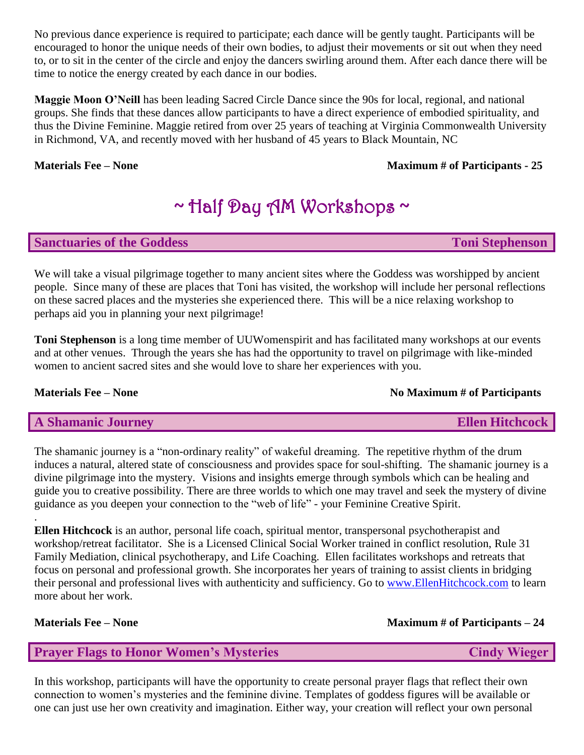No previous dance experience is required to participate; each dance will be gently taught. Participants will be encouraged to honor the unique needs of their own bodies, to adjust their movements or sit out when they need to, or to sit in the center of the circle and enjoy the dancers swirling around them. After each dance there will be time to notice the energy created by each dance in our bodies.

**Maggie Moon O'Neill** has been leading Sacred Circle Dance since the 90s for local, regional, and national groups. She finds that these dances allow participants to have a direct experience of embodied spirituality, and thus the Divine Feminine. Maggie retired from over 25 years of teaching at Virginia Commonwealth University in Richmond, VA, and recently moved with her husband of 45 years to Black Mountain, NC

#### **Materials Fee – None Maximum # of Participants - 25**

# ~ Half Day AM Workshops ~

#### **Sanctuaries of the Goddess Toni Stephenson**

We will take a visual pilgrimage together to many ancient sites where the Goddess was worshipped by ancient people. Since many of these are places that Toni has visited, the workshop will include her personal reflections on these sacred places and the mysteries she experienced there. This will be a nice relaxing workshop to perhaps aid you in planning your next pilgrimage!

**Toni Stephenson** is a long time member of UUWomenspirit and has facilitated many workshops at our events and at other venues. Through the years she has had the opportunity to travel on pilgrimage with like-minded women to ancient sacred sites and she would love to share her experiences with you.

#### **Materials Fee – None** No Maximum # of Participants

#### **A Shamanic Journey and Shamanic Sourney and Shamanic Source Ellen Hitchcock**

The shamanic journey is a "non-ordinary reality" of wakeful dreaming. The repetitive rhythm of the drum induces a natural, altered state of consciousness and provides space for soul-shifting. The shamanic journey is a divine pilgrimage into the mystery. Visions and insights emerge through symbols which can be healing and guide you to creative possibility. There are three worlds to which one may travel and seek the mystery of divine guidance as you deepen your connection to the "web of life" - your Feminine Creative Spirit.

**Ellen Hitchcock** is an author, personal life coach, spiritual mentor, transpersonal psychotherapist and workshop/retreat facilitator. She is a Licensed Clinical Social Worker trained in conflict resolution, Rule 31 Family Mediation, clinical psychotherapy, and Life Coaching. Ellen facilitates workshops and retreats that focus on personal and professional growth. She incorporates her years of training to assist clients in bridging their personal and professional lives with authenticity and sufficiency. Go to [www.EllenHitchcock.com](http://www.ellenhitchcock.com/) to learn more about her work.

.

#### **Materials Fee – None** Maximum # of Participants – 24

#### **Prayer Flags to Honor Women's Mysteries Cindy Wieger Cindy Wieger**

In this workshop, participants will have the opportunity to create personal prayer flags that reflect their own connection to women's mysteries and the feminine divine. Templates of goddess figures will be available or one can just use her own creativity and imagination. Either way, your creation will reflect your own personal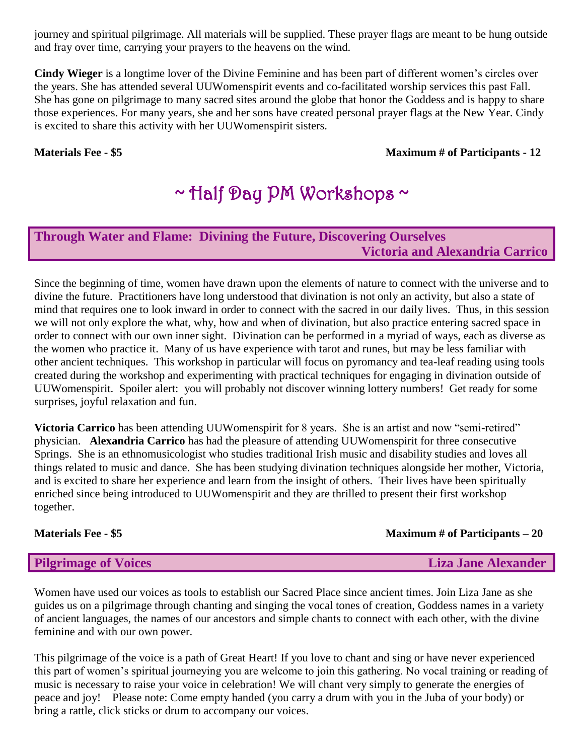journey and spiritual pilgrimage. All materials will be supplied. These prayer flags are meant to be hung outside and fray over time, carrying your prayers to the heavens on the wind.

**Cindy Wieger** is a longtime lover of the Divine Feminine and has been part of different women's circles over the years. She has attended several UUWomenspirit events and co-facilitated worship services this past Fall. She has gone on pilgrimage to many sacred sites around the globe that honor the Goddess and is happy to share those experiences. For many years, she and her sons have created personal prayer flags at the New Year. Cindy is excited to share this activity with her UUWomenspirit sisters.

#### **Materials Fee - \$5 Maximum # of Participants - 12**

## ~ Half Day PM Workshops ~

### **Through Water and Flame: Divining the Future, Discovering Ourselves Victoria and Alexandria Carrico**

Since the beginning of time, women have drawn upon the elements of nature to connect with the universe and to divine the future. Practitioners have long understood that divination is not only an activity, but also a state of mind that requires one to look inward in order to connect with the sacred in our daily lives. Thus, in this session we will not only explore the what, why, how and when of divination, but also practice entering sacred space in order to connect with our own inner sight. Divination can be performed in a myriad of ways, each as diverse as the women who practice it. Many of us have experience with tarot and runes, but may be less familiar with other ancient techniques. This workshop in particular will focus on pyromancy and tea-leaf reading using tools created during the workshop and experimenting with practical techniques for engaging in divination outside of UUWomenspirit. Spoiler alert: you will probably not discover winning lottery numbers! Get ready for some surprises, joyful relaxation and fun.

**Victoria Carrico** has been attending UUWomenspirit for 8 years. She is an artist and now "semi-retired" physician. **Alexandria Carrico** has had the pleasure of attending UUWomenspirit for three consecutive Springs. She is an ethnomusicologist who studies traditional Irish music and disability studies and loves all things related to music and dance. She has been studying divination techniques alongside her mother, Victoria, and is excited to share her experience and learn from the insight of others. Their lives have been spiritually enriched since being introduced to UUWomenspirit and they are thrilled to present their first workshop together.

#### **Materials Fee - \$5 Maximum # of Participants – 20**

#### **Pilgrimage of Voices Liza Jane Alexander**

Women have used our voices as tools to establish our Sacred Place since ancient times. Join Liza Jane as she guides us on a pilgrimage through chanting and singing the vocal tones of creation, Goddess names in a variety of ancient languages, the names of our ancestors and simple chants to connect with each other, with the divine feminine and with our own power.

This pilgrimage of the voice is a path of Great Heart! If you love to chant and sing or have never experienced this part of women's spiritual journeying you are welcome to join this gathering. No vocal training or reading of music is necessary to raise your voice in celebration! We will chant very simply to generate the energies of peace and joy! Please note: Come empty handed (you carry a drum with you in the Juba of your body) or bring a rattle, click sticks or drum to accompany our voices.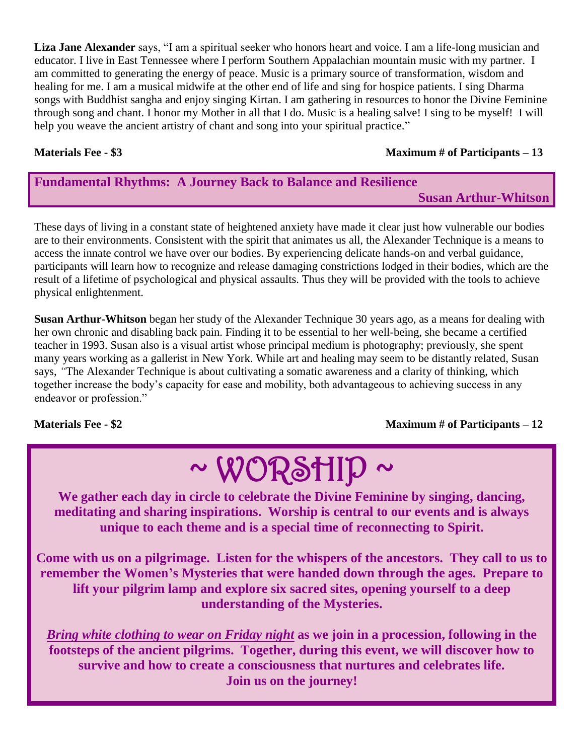**Liza Jane Alexander** says, "I am a spiritual seeker who honors heart and voice. I am a life-long musician and educator. I live in East Tennessee where I perform Southern Appalachian mountain music with my partner. I am committed to generating the energy of peace. Music is a primary source of transformation, wisdom and healing for me. I am a musical midwife at the other end of life and sing for hospice patients. I sing Dharma songs with Buddhist sangha and enjoy singing Kirtan. I am gathering in resources to honor the Divine Feminine through song and chant. I honor my Mother in all that I do. Music is a healing salve! I sing to be myself! I will help you weave the ancient artistry of chant and song into your spiritual practice."

#### **Materials Fee - \$3 Maximum # of Participants – 13**

### **Fundamental Rhythms: A Journey Back to Balance and Resilience Susan Arthur-Whitson**

These days of living in a constant state of heightened anxiety have made it clear just how vulnerable our bodies are to their environments. Consistent with the spirit that animates us all, the Alexander Technique is a means to access the innate control we have over our bodies. By experiencing delicate hands-on and verbal guidance, participants will learn how to recognize and release damaging constrictions lodged in their bodies, which are the result of a lifetime of psychological and physical assaults. Thus they will be provided with the tools to achieve physical enlightenment.

**Susan Arthur-Whitson** began her study of the Alexander Technique 30 years ago, as a means for dealing with her own chronic and disabling back pain. Finding it to be essential to her well-being, she became a certified teacher in 1993. Susan also is a visual artist whose principal medium is photography; previously, she spent many years working as a gallerist in New York. While art and healing may seem to be distantly related, Susan says, *"*The Alexander Technique is about cultivating a somatic awareness and a clarity of thinking, which together increase the body's capacity for ease and mobility, both advantageous to achieving success in any endeavor or profession."

**Materials Fee - \$2 Maximum # of Participants – 12**

# $\sim$  WORSHID  $\sim$

**We gather each day in circle to celebrate the Divine Feminine by singing, dancing, meditating and sharing inspirations. Worship is central to our events and is always unique to each theme and is a special time of reconnecting to Spirit.**

**Come with us on a pilgrimage. Listen for the whispers of the ancestors. They call to us to remember the Women's Mysteries that were handed down through the ages. Prepare to lift your pilgrim lamp and explore six sacred sites, opening yourself to a deep understanding of the Mysteries.**

*Bring white clothing to wear on Friday night* **as we join in a procession, following in the footsteps of the ancient pilgrims. Together, during this event, we will discover how to survive and how to create a consciousness that nurtures and celebrates life. Join us on the journey!**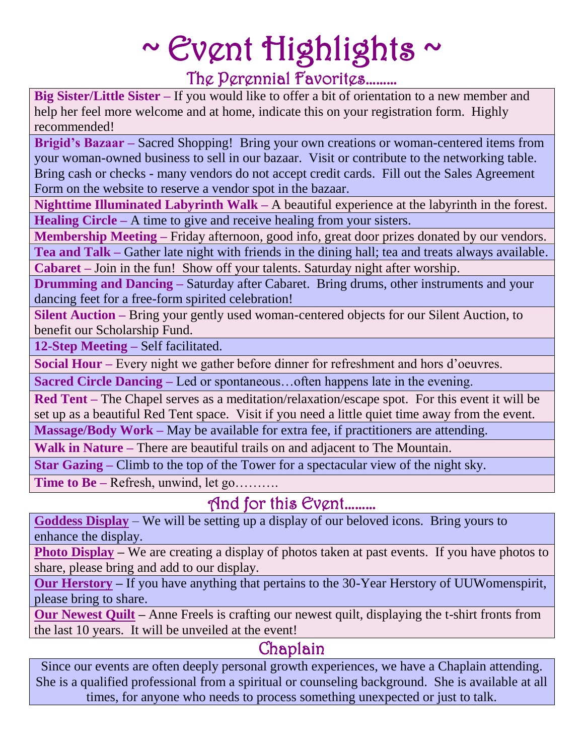# $\sim$  Event Highlights  $\sim$ The Perennial Favorites………

**Big Sister/Little Sister –** If you would like to offer a bit of orientation to a new member and help her feel more welcome and at home, indicate this on your registration form. Highly recommended!

**Brigid's Bazaar –** Sacred Shopping! Bring your own creations or woman-centered items from your woman-owned business to sell in our bazaar. Visit or contribute to the networking table. Bring cash or checks - many vendors do not accept credit cards. Fill out the Sales Agreement Form on the website to reserve a vendor spot in the bazaar.

**Nighttime Illuminated Labyrinth Walk –** A beautiful experience at the labyrinth in the forest. **Healing Circle –** A time to give and receive healing from your sisters.

**Membership Meeting –** Friday afternoon, good info, great door prizes donated by our vendors.

**Tea and Talk –** Gather late night with friends in the dining hall; tea and treats always available. **Cabaret –** Join in the fun! Show off your talents. Saturday night after worship.

**Drumming and Dancing** – Saturday after Cabaret. Bring drums, other instruments and your dancing feet for a free-form spirited celebration!

**Silent Auction –** Bring your gently used woman-centered objects for our Silent Auction, to benefit our Scholarship Fund.

**12-Step Meeting –** Self facilitated.

**Social Hour –** Every night we gather before dinner for refreshment and hors d'oeuvres.

**Sacred Circle Dancing –** Led or spontaneous…often happens late in the evening.

**Red Tent –** The Chapel serves as a meditation/relaxation/escape spot. For this event it will be set up as a beautiful Red Tent space. Visit if you need a little quiet time away from the event.

**Massage/Body Work –** May be available for extra fee, if practitioners are attending.

**Walk in Nature –** There are beautiful trails on and adjacent to The Mountain.

**Star Gazing –** Climb to the top of the Tower for a spectacular view of the night sky.

**Time to Be –** Refresh, unwind, let go……….

### And for this Event………

**Goddess Display** – We will be setting up a display of our beloved icons. Bring yours to enhance the display.

**Photo Display** – We are creating a display of photos taken at past events. If you have photos to share, please bring and add to our display.

**Our Herstory –** If you have anything that pertains to the 30-Year Herstory of UUWomenspirit, please bring to share.

**Our Newest Quilt –** Anne Freels is crafting our newest quilt, displaying the t-shirt fronts from the last 10 years. It will be unveiled at the event!

## Chaplain

Since our events are often deeply personal growth experiences, we have a Chaplain attending. She is a qualified professional from a spiritual or counseling background. She is available at all times, for anyone who needs to process something unexpected or just to talk.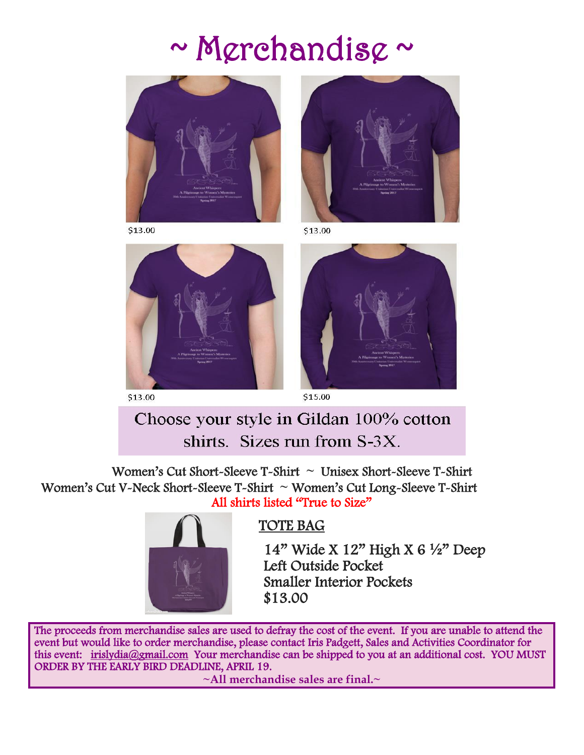# $\sim$  M $\rm{grehandis}$  $\rm{\sim}$



\$13.00



\$13.00



\$13.00



## Choose your style in Gildan 100% cotton shirts. Sizes run from S-3X.

Women's Cut Short-Sleeve T-Shirt **~** Unisex Short-Sleeve T-Shirt Women's Cut V-Neck Short-Sleeve T-Shirt **~** Women's Cut Long-Sleeve T-Shirt All shirts listed "True to Size"



### TOTE BAG

 14" Wide X 12" High X 6 ½" Deep Left Outside Pocket Smaller Interior Pockets \$13.00

The proceeds from merchandise sales are used to defray the cost of the event. If you are unable to attend the event but would like to order merchandise, please contact Iris Padgett, Sales and Activities Coordinator for this event: [irislydia@gmail.com](mailto:irislydia@gmail.com) Your merchandise can be shipped to you at an additional cost. YOU MUST ORDER BY THE EARLY BIRD DEADLINE, APRIL 19.

**~All merchandise sales are final.~**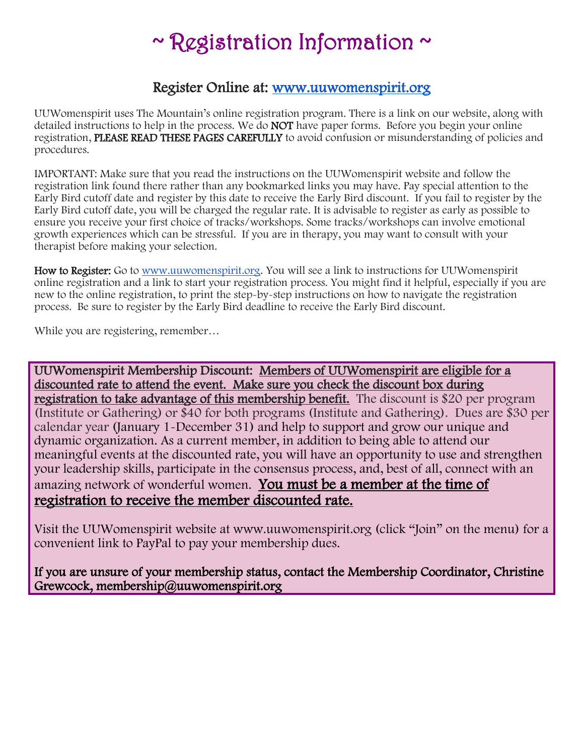# $\sim$  Registration Information  $\sim$

### Register Online at: [www.uuwomenspirit.org](http://www.uuwomenspirit.org/)

UUWomenspirit uses The Mountain's online registration program. There is a link on our website, along with detailed instructions to help in the process. We do NOT have paper forms. Before you begin your online registration, PLEASE READ THESE PAGES CAREFULLY to avoid confusion or misunderstanding of policies and procedures.

IMPORTANT: Make sure that you read the instructions on the UUWomenspirit website and follow the registration link found there rather than any bookmarked links you may have. Pay special attention to the Early Bird cutoff date and register by this date to receive the Early Bird discount. If you fail to register by the Early Bird cutoff date, you will be charged the regular rate. It is advisable to register as early as possible to ensure you receive your first choice of tracks/workshops. Some tracks/workshops can involve emotional growth experiences which can be stressful. If you are in therapy, you may want to consult with your therapist before making your selection.

How to Register: Go to [www.uuwomenspirit.org.](http://www.uuwomenspirit.org/) You will see a link to instructions for UUWomenspirit online registration and a link to start your registration process. You might find it helpful, especially if you are new to the online registration, to print the step-by-step instructions on how to navigate the registration process. Be sure to register by the Early Bird deadline to receive the Early Bird discount.

While you are registering, remember…

UUWomenspirit Membership Discount: Members of UUWomenspirit are eligible for a discounted rate to attend the event. Make sure you check the discount box during registration to take advantage of this membership benefit. The discount is \$20 per program (Institute or Gathering) or \$40 for both programs (Institute and Gathering). Dues are \$30 per calendar year (January 1-December 31) and help to support and grow our unique and dynamic organization. As a current member, in addition to being able to attend our meaningful events at the discounted rate, you will have an opportunity to use and strengthen your leadership skills, participate in the consensus process, and, best of all, connect with an amazing network of wonderful women. You must be a member at the time of registration to receive the member discounted rate.

Visit the UUWomenspirit website at www.uuwomenspirit.org (click "Join" on the menu) for a convenient link to PayPal to pay your membership dues.

If you are unsure of your membership status, contact the Membership Coordinator, Christine Grewcock, membership@uuwomenspirit.org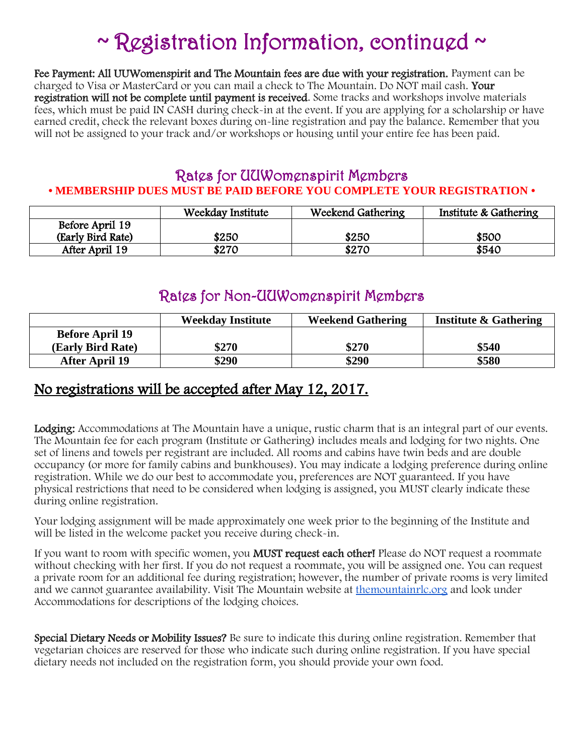# $\sim$  Registration Information, continued  $\sim$

Fee Payment: All UUWomenspirit and The Mountain fees are due with your registration. Payment can be charged to Visa or MasterCard or you can mail a check to The Mountain. Do NOT mail cash. Your registration will not be complete until payment is received. Some tracks and workshops involve materials fees, which must be paid IN CASH during check-in at the event. If you are applying for a scholarship or have earned credit, check the relevant boxes during on-line registration and pay the balance. Remember that you will not be assigned to your track and/or workshops or housing until your entire fee has been paid.

### Rates for UUWomenspirit Members **• MEMBERSHIP DUES MUST BE PAID BEFORE YOU COMPLETE YOUR REGISTRATION •**

|                   | Weekday Institute | Weekend Gathering | Institute & Gathering |
|-------------------|-------------------|-------------------|-----------------------|
| Before April 19   |                   |                   |                       |
| (Early Bird Rate) | \$250             | \$250             | \$500                 |
| After April 19    | \$270             | \$270             | \$540                 |

### Rates for Non-UUWomenspirit Members

|                        | <b>Weekday Institute</b> | <b>Weekend Gathering</b> | <b>Institute &amp; Gathering</b> |
|------------------------|--------------------------|--------------------------|----------------------------------|
| <b>Before April 19</b> |                          |                          |                                  |
| (Early Bird Rate)      | \$270                    | \$270                    | \$540                            |
| <b>After April 19</b>  | \$290                    | \$290                    | \$580                            |

### No registrations will be accepted after May 12, 2017.

Lodging: Accommodations at The Mountain have a unique, rustic charm that is an integral part of our events. The Mountain fee for each program (Institute or Gathering) includes meals and lodging for two nights. One set of linens and towels per registrant are included. All rooms and cabins have twin beds and are double occupancy (or more for family cabins and bunkhouses). You may indicate a lodging preference during online registration. While we do our best to accommodate you, preferences are NOT guaranteed. If you have physical restrictions that need to be considered when lodging is assigned, you MUST clearly indicate these during online registration.

Your lodging assignment will be made approximately one week prior to the beginning of the Institute and will be listed in the welcome packet you receive during check-in.

If you want to room with specific women, you MUST request each other! Please do NOT request a roommate without checking with her first. If you do not request a roommate, you will be assigned one. You can request a private room for an additional fee during registration; however, the number of private rooms is very limited and we cannot guarantee availability. Visit The Mountain website at [themountainrlc.org](http://themountainrlc.org/) and look under Accommodations for descriptions of the lodging choices.

Special Dietary Needs or Mobility Issues? Be sure to indicate this during online registration. Remember that vegetarian choices are reserved for those who indicate such during online registration. If you have special dietary needs not included on the registration form, you should provide your own food.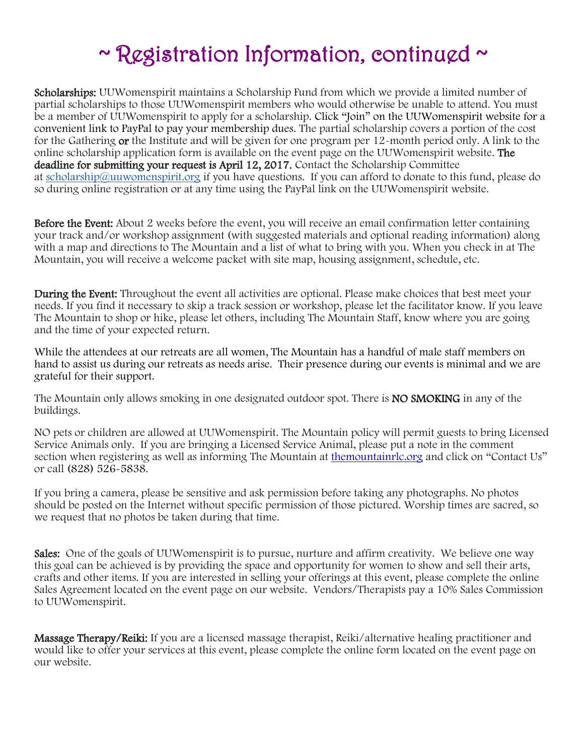# $\sim$  Registration Information, continued  $\sim$

Scholarships: UUWomenspirit maintains a Scholarship Fund from which we provide a limited number of partial scholarships to those UUWomenspirit members who would otherwise be unable to attend. You must be a member of UUWomenspirit to apply for a scholarship. Click "Join" on the UUWomenspirit website for a convenient link to PayPal to pay your membership dues. The partial scholarship covers a portion of the cost for the Gathering or the Institute and will be given for one program per 12-month period only. A link to the online scholarship application form is available on the event page on the UUWomenspirit website. The deadline for submitting your request is April 12, 2017. Contact the Scholarship Committee at [scholarship@uuwomenspirit.org](mailto:scholarship@uuwomenspirit.org) if you have questions. If you can afford to donate to this fund, please do so during online registration or at any time using the PayPal link on the UUWomenspirit website.

Before the Event: About 2 weeks before the event, you will receive an email confirmation letter containing your track and/or workshop assignment (with suggested materials and optional reading information) along with a map and directions to The Mountain and a list of what to bring with you. When you check in at The Mountain, you will receive a welcome packet with site map, housing assignment, schedule, etc.

During the Event: Throughout the event all activities are optional. Please make choices that best meet your needs. If you find it necessary to skip a track session or workshop, please let the facilitator know. If you leave The Mountain to shop or hike, please let others, including The Mountain Staff, know where you are going and the time of your expected return.

While the attendees at our retreats are all women, The Mountain has a handful of male staff members on hand to assist us during our retreats as needs arise. Their presence during our events is minimal and we are grateful for their support.

The Mountain only allows smoking in one designated outdoor spot. There is **NO SMOKING** in any of the buildings.

NO pets or children are allowed at UUWomenspirit. The Mountain policy will permit guests to bring Licensed Service Animals only. If you are bringing a Licensed Service Animal, please put a note in the comment section when registering as well as informing The Mountain at themountainrlc.org and click on "Contact Us" or call (828) 526-5838.

If you bring a camera, please be sensitive and ask permission before taking any photographs. No photos should be posted on the Internet without specific permission of those pictured. Worship times are sacred, so we request that no photos be taken during that time.

Sales: One of the goals of UUWomenspirit is to pursue, nurture and affirm creativity. We believe one way this goal can be achieved is by providing the space and opportunity for women to show and sell their arts, crafts and other items. If you are interested in selling your offerings at this event, please complete the online Sales Agreement located on the event page on our website. Vendors/Therapists pay a 10% Sales Commission to UUWomenspirit.

Massage Therapy/Reiki: If you are a licensed massage therapist, Reiki/alternative healing practitioner and would like to offer your services at this event, please complete the online form located on the event page on our website.